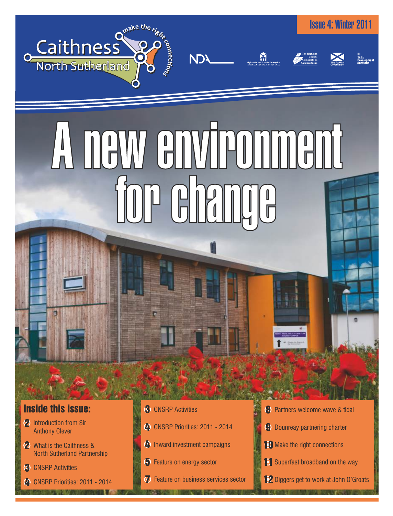

# A NAW GNWTPONINGN

**NDY** 

## Inside this issue:

- 2 Introduction from Sir Anthony Clever
- 2 What is the Caithness & North Sutherland Partnership
- 
- 
- **3** CNSRP Activities
- 4 CNSRP Priorities: 2011 2014
- 4 Inward investment campaigns
- 5 Feature on energy sector
- **7** Feature on business services sector

**8** Partners welcome wave & tidal

Issue 4: Winter 2011

- 9 Dounreay partnering charter
- 10 Make the right connections
- $\bullet$  Feature on energy sector  $\bullet$  Superfast broadband on the way  $\bullet$  CNSRP Activities
- **4** CNSRP Priorities: 2011 2014 **12** Diggers get to work at John O'Groats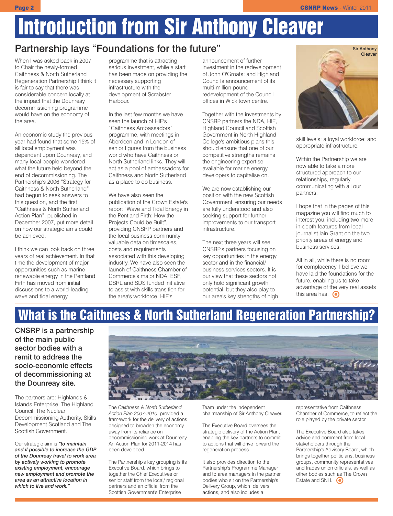# Introduction from Sir Anthony Cleaver

## Partnership lays "Foundations for the future"

When I was asked back in 2007 to Chair the newly-formed Caithness & North Sutherland Regeneration Partnership I think it is fair to say that there was considerable concern locally at the impact that the Dounreay decommissioning programme would have on the economy of the area.

An economic study the previous year had found that some 15% of all local employment was dependent upon Dounreay, and many local people wondered what the future held beyond the end of decommissioning. The Partnership's 2006 "Strategy for Caithness & North Sutherland" had begun to seek answers to this question, and the first "Caithness & North Sutherland Action Plan", published in December 2007, put more detail on how our strategic aims could be achieved.

I think we can look back on three years of real achievement. In that time the development of major opportunities such as marine renewable energy in the Pentland Firth has moved from initial discussions to a world-leading wave and tidal energy

programme that is attracting serious investment, while a start has been made on providing the necessary supporting infrastructure with the development of Scrabster **Harbour** 

In the last few months we have seen the launch of HIE's "Caithness Ambassadors" programme, with meetings in Aberdeen and in London of senior figures from the business world who have Caithness or North Sutherland links. They will act as a pool of ambassadors for Caithness and North Sutherland as a place to do business.

We have also seen the publication of the Crown Estate's report "Wave and Tidal Energy in the Pentland Firth: How the Projects Could be Built", providing CNSRP partners and the local business community valuable data on timescales, costs and requirements associated with this developing industry. We have also seen the launch of Caithness Chamber of Commerce's major NDA, ESF, DSRL and SDS funded initiative to assist with skills transition for the area's workforce; HIE's

announcement of further investment in the redevelopment of John O'Groats; and Highland Council's announcement of its multi-million pound redevelopment of the Council offices in Wick town centre.

Together with the investments by CNSRP partners the NDA, HIE, Highland Council and Scottish Government in North Highland College's ambitious plans this should ensure that one of our competitive strengths remains the engineering expertise available for marine energy developers to capitalise on.

We are now establishing our position with the new Scottish Government, ensuring our needs are fully understood and also seeking support for further improvements to our transport infrastructure.

The next three years will see CNSRP's partners focusing on key opportunities in the energy sector and in the financial/ business services sectors. It is our view that these sectors not only hold significant growth potential, but they also play to our area's key strengths of high



skill levels; a loyal workforce; and appropriate infrastructure.

Within the Partnership we are now able to take a more structured approach to our relationships, regularly communicating with all our partners.

I hope that in the pages of this magazine you will find much to interest you, including two more in-depth features from local journalist Iain Grant on the two priority areas of energy and business services.

All in all, while there is no room for complacency, I believe we have laid the foundations for the future, enabling us to take advantage of the very real assets this area has.  $\odot$ 

# What is the Caithness & North Sutherland Regeneration Partnership?

CNSRP is a partnership of the main public sector bodies with a remit to address the socio-economic effects of decommissioning at the Dounreay site.

The partners are: Highlands & Islands Enterprise, The Highland Council, The Nuclear Decommissioning Authority, Skills Development Scotland and The Scottish Government.

Our strategic aim is *"to maintain and if possible to increase the GDP of the Dounreay travel to work area by actively working to promote existing employment, encourage new employment and promote the area as an attractive location in which to live and work."*



The *Caithness & North Sutherland Action Plan 2007-2010*, provided a framework for the delivery of actions designed to broaden the economy away from its reliance on decommissioning work at Dounreay. An Action Plan for 2011-2014 has been developed.

The Partnership's key grouping is its Executive Board, which brings to together the Chief Executives or senior staff from the local/ regional partners and an official from the Scottish Government's Enterprise

Team under the independent chairmanship of Sir Anthony Cleaver.

The Executive Board oversees the strategic delivery of the Action Plan, enabling the key partners to commit to actions that will drive forward the regeneration process.

It also provides direction to the Partnership's Programme Manager and to area managers in the partner bodies who sit on the Partnership's Delivery Group, which delivers actions, and also includes a

representative from Caithness Chamber of Commerce, to reflect the role played by the private sector.

The Executive Board also takes advice and comment from local stakeholders through the Partnership's Advisory Board, which brings together politicians, business groups, community representatives and trades union officials, as well as other bodies such as The Crown Estate and SNH.  $\odot$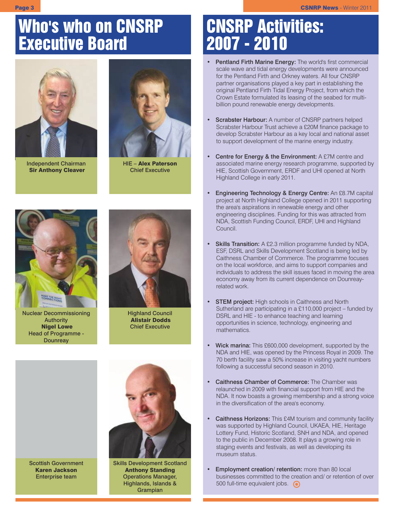# Who's who on CNSRP Executive Board



Independent Chairman Sir Anthony Cleaver



HIE – Alex Paterson Chief Executive



Nuclear Decommissioning Authority Nigel Lowe Head of Programme - **Dounreay** 

Scottish Government Karen Jackson Enterprise team



Highland Council Alistair Dodds Chief Executive



Skills Development Scotland Anthony Standing Operations Manager, Highlands, Islands & Grampian

# CNSRP Activities: 2007 - 2010

- Pentland Firth Marine Energy: The world's first commercial scale wave and tidal energy developments were announced for the Pentland Firth and Orkney waters. All four CNSRP partner organisations played a key part in establishing the original Pentland Firth Tidal Energy Project, from which the Crown Estate formulated its leasing of the seabed for multibillion pound renewable energy developments.
- Scrabster Harbour: A number of CNSRP partners helped Scrabster Harbour Trust achieve a £20M finance package to develop Scrabster Harbour as a key local and national asset to support development of the marine energy industry.
- **Centre for Energy & the Environment:** A £7M centre and associated marine energy research programme, supported by HIE, Scottish Government, ERDF and UHI opened at North Highland College in early 2011.
- Engineering Technology & Energy Centre: An £8.7M capital project at North Highland College opened in 2011 supporting the area's aspirations in renewable energy and other engineering disciplines. Funding for this was attracted from NDA, Scottish Funding Council, ERDF, UHI and Highland Council.
- Skills Transition: A £2.3 million programme funded by NDA, ESF, DSRL and Skills Development Scotland is being led by Caithness Chamber of Commerce. The programme focuses on the local workforce, and aims to support companies and individuals to address the skill issues faced in moving the area economy away from its current dependence on Dounreayrelated work.
- **STEM project:** High schools in Caithness and North Sutherland are participating in a £110,000 project – funded by DSRL and HIE - to enhance teaching and learning opportunities in science, technology, engineering and mathematics.
- Wick marina: This £600,000 development, supported by the NDA and HIE, was opened by the Princess Royal in 2009. The 70 berth facility saw a 50% increase in visiting yacht numbers following a successful second season in 2010.
- Caithness Chamber of Commerce: The Chamber was relaunched in 2009 with financial support from HIE and the NDA. It now boasts a growing membership and a strong voice in the diversification of the area's economy.
- Caithness Horizons: This £4M tourism and community facility was supported by Highland Council, UKAEA, HIE, Heritage Lottery Fund, Historic Scotland, SNH and NDA, and opened to the public in December 2008. It plays a growing role in staging events and festivals, as well as developing its museum status.
- Employment creation/ retention: more than 80 local businesses committed to the creation and/ or retention of over 500 full-time equivalent jobs.  $\bigcirc$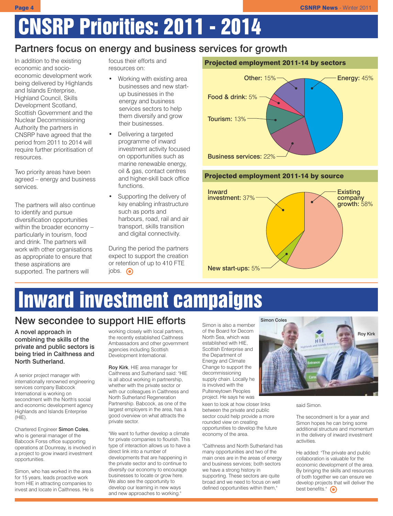# CNSRP Priorities: 2011 - 2014

## Partners focus on energy and business services for growth

In addition to the existing economic and socioeconomic development work being delivered by Highlands and Islands Enterprise, Highland Council, Skills Development Scotland, Scottish Government and the Nuclear Decommissioning Authority the partners in CNSRP have agreed that the period from 2011 to 2014 will require further prioritisation of resources.

Two priority areas have been agreed – energy and business services.

The partners will also continue to identify and pursue diversification opportunities within the broader economy – particularly in tourism, food and drink. The partners will work with other organisations as appropriate to ensure that these aspirations are supported. The partners will

focus their efforts and resources on:

- Working with existing area businesses and new startup businesses in the energy and business services sectors to help them diversify and grow their businesses.
- Delivering a targeted programme of inward investment activity focused on opportunities such as marine renewable energy, oil & gas, contact centres and higher-skill back office functions.
- Supporting the delivery of key enabling infrastructure such as ports and harbours, road, rail and air transport, skills transition and digital connectivity.

During the period the partners expect to support the creation or retention of up to 410 FTE jobs.  $\odot$ 



#### Projected employment 2011-14 by source



# Inward investment campaigns

## New secondee to support HIE efforts

A novel approach in combining the skills of the private and public sectors is being tried in Caithness and North Sutherland.

A senior project manager with internationally renowned engineering services company Babcock International is working on secondment with the North's social and economic development agency Highlands and Islands Enterprise  $(HIE)$ .

Chartered Engineer Simon Coles, who is general manager of the Babcock Forss office supporting operations at Dounreay, is involved in a project to grow inward investment opportunities.

Simon, who has worked in the area for 15 years, leads proactive work from HIE in attracting companies to invest and locate in Caithness. He is working closely with local partners, the recently established Caithness Ambassadors and other government agencies including Scottish Development International.

Roy Kirk, HIE area manager for Caithness and Sutherland said: "HIE is all about working in partnership, whether with the private sector or with our colleagues in Caithness and North Sutherland Regeneration Partnership. Babcock, as one of the largest employers in the area, has a good overview on what attracts the private sector.

"We want to further develop a climate for private companies to flourish. This type of interaction allows us to have a direct link into a number of developments that are happening in the private sector and to continue to diversify our economy to encourage businesses to locate or grow here. We also see the opportunity to develop our learning in new ways and new approaches to working."

Simon is also a member of the Board for Decom North Sea, which was established with HIE, Scottish Enterprise and the Department of Energy and Climate Change to support the decommissioning supply chain. Locally he is involved with the Pulteneytown Peoples

project. He says he was keen to look at how closer links between the private and public sector could help provide a more rounded view on creating opportunities to develop the future economy of the area.

"Caithness and North Sutherland has many opportunities and two of the main ones are in the areas of energy and business services; both sectors we have a strong history in supporting. These sectors are quite broad and we need to focus on well defined opportunities within them,"



said Simon.

The secondment is for a year and Simon hopes he can bring some additional structure and momentum in the delivery of inward investment activities.

He added: "The private and public collaboration is valuable for the economic development of the area. By bringing the skills and resources of both together we can ensure we develop projects that will deliver the best benefits."  $\bigodot$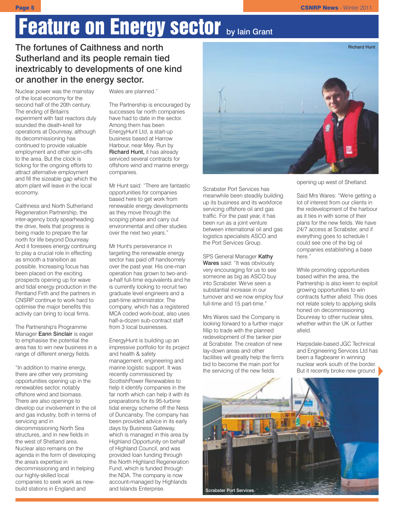# Feature on Energy sector by lain Grant

#### The fortunes of Caithness and north Sutherland and its people remain tied inextricably to developments of one kind or another in the energy sector.

Nuclear power was the mainstay of the local economy for the second half of the 20th century. The ending of Britain's experiment with fast reactors duly sounded the death-knell for operations at Dounreay, although its decommissioning has continued to provide valuable employment and other spin-offs to the area. But the clock is ticking for the ongoing efforts to attract alternative employment and fill the sizeable gap which the atom plant will leave in the local economy.

Caithness and North Sutherland Regeneration Partnership, the inter-agency body spearheading the drive, feels that progress is being made to prepare the far north for life beyond Dounreay. And it foresees energy continuing to play a crucial role in effecting as smooth a transition as possible. Increasing focus has been placed on the exciting prospects opening up for wave and tidal energy production in the Pentland Firth and the partners in CNSRP continue to work hard to optimise the major benefits this activity can bring to local firms.

The Partnership's Programme Manager **Eann Sinclair** is eager to emphasise the potential the area has to win new business in a range of different energy fields.

"In addition to marine energy, there are other very promising opportunities opening up in the renewables sector, notably offshore wind and biomass. There are also openings to develop our involvement in the oil and gas industry, both in terms of servicing and in decommissioning North Sea structures, and in new fields in the west of Shetland area. Nuclear also remains on the agenda in the form of developing the area's expertise in decommissioning and in helping our highly-skilled local companies to seek work as newbuild stations in England and

#### Wales are planned."

The Partnership is encouraged by successes far north companies have had to date in the sector. Among them has been EnergyHunt Ltd, a start-up business based at Harrow Harbour, near Mey. Run by Richard Hunt, it has already serviced several contracts for offshore wind and marine energy companies.

Mr Hunt said: "There are fantastic opportunities for companies based here to get work from renewable energy developments as they move through the scoping phase and carry out environmental and other studies over the next two years."

Mr Hunt's perseverance in targeting the renewable energy sector has paid off handsomely over the past year. His one-man operation has grown to two-anda-half full-time equivalents and he is currently looking to recruit two graduate level engineers and a part-time administrator. The company, which has a registered MCA coded work-boat, also uses half-a-dozen sub-contract staff from 3 local businesses.

EnergyHunt is building up an impressive portfolio for its project and health & safety management, engineering and marine logistic support. It was recently commissioned by ScottishPower Renewables to help it identify companies in the far north which can help it with its preparations for its 95-turbine tidal energy scheme off the Ness of Duncansby. The company has been provided advice in its early days by Business Gateway, which is managed in this area by Highland Opportunity on behalf of Highland Council, and was provided loan funding through the North Highland Regeneration Fund, which is funded through the NDA. The company is now account-managed by Highlands and Islands Enterprise.



Scrabster Port Services has meanwhile been steadily building up its business and its workforce servicing offshore oil and gas traffic. For the past year, it has been run as a joint venture between international oil and gas logistics specialists ASCO and the Port Services Group.

#### SPS General Manager Kathy

Wares said: "It was obviously very encouraging for us to see someone as big as ASCO buy into Scrabster. We've seen a substantial increase in our turnover and we now employ four full-time and 15 part-time."

Mrs Wares said the Company is looking forward to a further major fillip to trade with the planned redevelopment of the tanker pier at Scrabster. The creation of new lay-down areas and other facilities will greatly help the firm's bid to become the main port for the servicing of the new fields

opening up west of Shetland.

Said Mrs Wares: "We're getting a lot of interest from our clients in the redevelopment of the harbour as it ties in with some of their plans for the new fields. We have 24/7 access at Scrabster, and if everything goes to schedule I could see one of the big oil companies establishing a base here."

While promoting opportunities based within the area, the Partnership is also keen to exploit growing opportunities to win contracts further afield. This does not relate solely to applying skills honed on decommissioning Dounreay to other nuclear sites, whether within the UK or further afield.

Harpsdale-based JGC Technical and Engineering Services Ltd has been a flagbearer in winning nuclear work south of the border. But it recently broke new ground

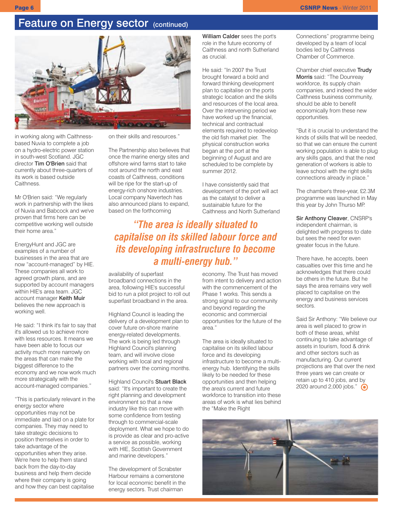### Feature on Energy sector (continued)



in working along with Caithnessbased Nuvia to complete a job on a hydro-electric power station in south-west Scotland. JGC director Tim O'Brien said that currently about three-quarters of its work is based outside Caithness.

Mr O'Brien said: "We regularly work in partnership with the likes of Nuvia and Babcock and we've proven that firms here can be competitive working well outside their home area."

EnergyHunt and JGC are examples of a number of businesses in the area that are now "account-managed" by HIE. These companies all work to agreed growth plans, and are supported by account managers within HIE's area team. JGC account manager Keith Muir believes the new approach is working well.

He said: "I think it's fair to say that it's allowed us to achieve more with less resources. It means we have been able to focus our activity much more narrowly on the areas that can make the biggest difference to the economy and we now work much more strategically with the account-managed companies."

"This is particularly relevant in the energy sector where opportunities may not be immediate and laid on a plate for companies. They may need to take strategic decisions to position themselves in order to take advantage of the opportunities when they arise. We're here to help them stand back from the day-to-day business and help them decide where their company is going and how they can best capitalise

on their skills and resources."

The Partnership also believes that once the marine energy sites and offshore wind farms start to take root around the north and east coasts of Caithness, conditions will be ripe for the start-up of energy-rich onshore industries. Local company Navertech has also announced plans to expand, based on the forthcoming

*"The area is ideally situated to capitalise on its skilled labour force and its developing infrastructure to become a multi-energy hub."*

availability of superfast

broadband connections in the area, following HIE's successful bid to run a pilot project to roll out superfast broadband in the area.

Highland Council is leading the delivery of a development plan to cover future on-shore marine energy-related developments. The work is being led through Highland Council's planning team, and will involve close working with local and regional partners over the coming months.

Highland Council's Stuart Black said: "It's important to create the right planning and development environment so that a new industry like this can move with some confidence from testing through to commercial-scale deployment. What we hope to do is provide as clear and pro-active a service as possible, working with HIE, Scottish Government and marine developers."

The development of Scrabster Harbour remains a cornerstone for local economic benefit in the energy sectors. Trust chairman

economy. The Trust has moved from intent to delivery and action with the commencement of the Phase 1 works. This sends a strong signal to our community and beyond regarding the economic and commercial opportunities for the future of the area."

William Calder sees the port's role in the future economy of Caithness and north Sutherland

He said: "In 2007 the Trust brought forward a bold and forward thinking development plan to capitalise on the ports strategic location and the skills and resources of the local area. Over the intervening period we have worked up the financial, technical and contractual elements required to redevelop the old fish market pier. The physical construction works began at the port at the beginning of August and are scheduled to be complete by

as crucial.

summer 2012.

I have consistently said that development of the port will act as the catalyst to deliver a sustainable future for the

Caithness and North Sutherland

The area is ideally situated to capitalise on its skilled labour force and its developing infrastructure to become a multienergy hub. Identifying the skills likely to be needed for these opportunities and then helping the area's current and future workforce to transition into these areas of work is what lies behind the "Make the Right

Connections" programme being developed by a team of local bodies led by Caithness Chamber of Commerce.

Chamber chief executive Trudy Morris said: "The Dounreay workforce, its supply chain companies, and indeed the wider Caithness business community, should be able to benefit economically from these new opportunities.

"But it is crucial to understand the kinds of skills that will be needed, so that we can ensure the current working population is able to plug any skills gaps, and that the next generation of workers is able to leave school with the right skills connections already in place."

The chamber's three-year, £2.3M programme was launched in May this year by John Thurso MP.

Sir Anthony Cleaver, CNSRP's independent chairman, is delighted with progress to date but sees the need for even greater focus in the future.

There have, he accepts, been casualties over this time and he acknowledges that there could be others in the future. But he says the area remains very well placed to capitalise on the energy and business services sectors.

Said Sir Anthony: "We believe our area is well placed to grow in both of these areas, whilst continuing to take advantage of assets in tourism, food & drink and other sectors such as manufacturing. Our current projections are that over the next three years we can create or retain up to 410 jobs, and by 2020 around 2,000 jobs." <br>
••

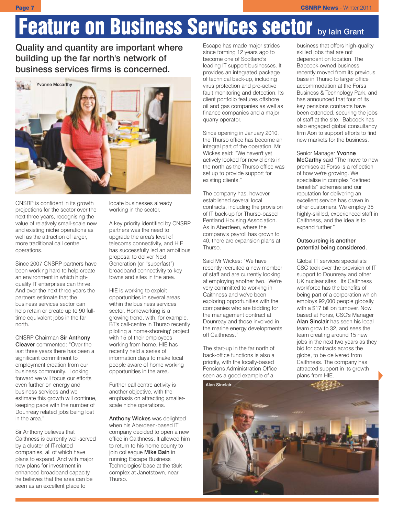# Feature on Business Services sector by lain Grant

Quality and quantity are important where building up the far north's network of business services firms is concerned.



CNSRP is confident in its growth projections for the sector over the next three years, recognising the value of relatively small-scale new and existing niche operations as well as the attraction of larger, more traditional call centre operations.

Since 2007 CNSRP partners have been working hard to help create an environment in which highquality IT enterprises can thrive. And over the next three years the partners estimate that the business services sector can help retain or create up to 90 fulltime equivalent jobs in the far north.

CNSRP Chairman Sir Anthony Cleaver commented: "Over the last three years there has been a significant commitment to employment creation from our business community. Looking forward we will focus our efforts even further on energy and business services and we estimate this growth will continue, keeping pace with the number of Dounreay related jobs being lost in the area."

Sir Anthony believes that Caithness is currently well-served by a cluster of IT-related companies, all of which have plans to expand. And with major new plans for investment in enhanced broadband capacity he believes that the area can be seen as an excellent place to

locate businesses already working in the sector.

A key priority identified by CNSRP partners was the need to upgrade the area's level of telecoms connectivity, and HIE has successfully led an ambitious proposal to deliver Next Generation (or "superfast") broadband connectivity to key towns and sites in the area.

HIE is working to exploit opportunities in several areas within the business services sector. Homeworking is a growing trend, with, for example, BT's call-centre in Thurso recently piloting a 'home-shoreing' project with 15 of their employees working from home. HIE has recently held a series of information days to make local people aware of home working opportunities in the area.

Further call centre activity is another objective, with the emphasis on attracting smallerscale niche operations.

Anthony Wickes was delighted when his Aberdeen-based IT company decided to open a new office in Caithness. It allowed him to return to his home county to join colleague Mike Bain in running Escape Business Technologies' base at the t3uk complex at Janetstown, near Thurso.

Escape has made major strides since forming 12 years ago to become one of Scotland's leading IT support businesses. It provides an integrated package of technical back-up, including virus protection and pro-active fault monitoring and detection. Its client portfolio features offshore oil and gas companies as well as finance companies and a major quarry operator.

Since opening in January 2010, the Thurso office has become an integral part of the operation. Mr Wickes said: "We haven't yet actively looked for new clients in the north as the Thurso office was set up to provide support for existing clients."

The company has, however, established several local contracts, including the provision of IT back-up for Thurso-based Pentland Housing Association. As in Aberdeen, where the company's payroll has grown to 40, there are expansion plans at Thurso.

Said Mr Wickes: "We have recently recruited a new member of staff and are currently looking at employing another two. We're very committed to working in Caithness and we've been exploring opportunities with the companies who are bidding for the management contract at Dounreay and those involved in the marine energy developments off Caithness."

The start-up in the far north of back-office functions is also a priority, with the locally-based Pensions Administration Office seen as a good example of a

business that offers high-quality skilled jobs that are not dependent on location. The Babcock-owned business recently moved from its previous base in Thurso to larger office accommodation at the Forss Business & Technology Park, and has announced that four of its key pensions contracts have been extended, securing the jobs of staff at the site. Babcock has also engaged global consultancy firm Aon to support efforts to find new markets for the business.

Senior Manager Yvonne McCarthy said "The move to new premises at Forss is a reflection of how we're growing. We specialise in complex "defined benefits" schemes and our reputation for delivering an excellent service has drawn in other customers. We employ 35 highly-skilled, experienced staff in Caithness, and the idea is to expand further."

#### Outsourcing is another potential being considered.

Global IT services specialists CSC took over the provision of IT support to Dounreay and other UK nuclear sites. Its Caithness workforce has the benefits of being part of a corporation which employs 92,000 people globally, with a \$17 billion turnover. Now based at Forss, CSC's Manager Alan Sinclair has seen his local team grow to 32, and sees the team creating around 15 new jobs in the next two years as they bid for contracts across the globe, to be delivered from Caithness. The company has attracted support in its growth plans from HIE.

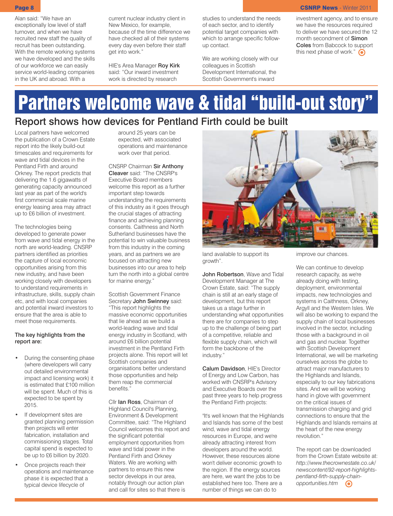Alan said: "We have an exceptionally low level of staff turnover, and when we have recruited new staff the quality of recruit has been outstanding. With the remote working systems we have developed and the skills of our workforce we can easily service world-leading companies in the UK and abroad. With a

current nuclear industry client in New Mexico, for example, because of the time difference we have checked all of their systems every day even before their staff get into work."

HIE's Area Manager Roy Kirk said: "Our inward investment work is directed by research

studies to understand the needs of each sector, and to identify potential target companies with which to arrange specific followup contact.

We are working closely with our colleagues in Scottish Development International, the Scottish Government's inward

Page 8 CSNRP News - Winter 2011

investment agency, and to ensure we have the resources required to deliver we have secured the 12 month secondment of Simon Coles from Babcock to support this next phase of work."  $\bigodot$ 

# Partners welcome wave & tidal "build-out story" Report shows how devices for Pentland Firth could be built

Local partners have welcomed the publication of a Crown Estate report into the likely build-out timescales and requirements for wave and tidal devices in the Pentland Firth and around Orkney. The report predicts that delivering the 1.6 gigawatts of generating capacity announced last year as part of the world's first commercial scale marine energy leasing area may attract up to £6 billion of investment.

The technologies being developed to generate power from wave and tidal energy in the north are world-leading. CNSRP partners identified as priorities the capture of local economic opportunities arising from this new industry, and have been working closely with developers to understand requirements in infrastructure, skills, supply chain etc, and with local companies and potential inward investors to ensure that the area is able to meet those requirements.

#### The key highlights from the report are:

- During the consenting phase (where developers will carry out detailed environmental impact and licensing work) it is estimated that £100 million will be spent. Much of this is expected to be spent by 2015.
- If development sites are granted planning permission then projects will enter fabrication, installation and commissioning stages. Total capital spend is expected to be up to £6 billion by 2020.
- Once projects reach their operations and maintenance phase it is expected that a typical device lifecycle of

around 25 years can be expected, with associated operations and maintenance work over that period.

CNSRP Chairman Sir Anthony Cleaver said: "The CNSRP's Executive Board members welcome this report as a further important step towards understanding the requirements of this industry as it goes through the crucial stages of attracting finance and achieving planning consents. Caithness and North Sutherland businesses have the potential to win valuable business from this industry in the coming years, and as partners we are focused on attracting new businesses into our area to help turn the north into a global centre for marine energy."

Scottish Government Finance Secretary John Swinney said: "This report highlights the massive economic opportunities that lie ahead as we build a world-leading wave and tidal energy industry in Scotland, with around £6 billion potential investment in the Pentland Firth projects alone. This report will let Scottish companies and organisations better understand those opportunities and help them reap the commercial benefits."

Cllr Ian Ross, Chairman of Highland Council's Planning, Environment & Development Committee, said: "The Highland Council welcomes this report and the significant potential employment opportunities from wave and tidal power in the Pentland Firth and Orkney Waters. We are working with partners to ensure this new sector develops in our area, notably through our action plan and call for sites so that there is



land available to support its growth".

John Robertson, Wave and Tidal Development Manager at The Crown Estate, said: "The supply chain is still at an early stage of development, but this report takes us a stage further in understanding what opportunities there are for companies to step up to the challenge of being part of a competitive, reliable and flexible supply chain, which will form the backbone of the industry."

Calum Davidson, HIE's Director of Energy and Low Carbon, has worked with CNSRP's Advisory and Executive Boards over the past three years to help progress the Pentland Firth projects:

"It's well known that the Highlands and Islands has some of the best wind, wave and tidal energy resources in Europe, and we're already attracting interest from developers around the world. However, these resources alone won't deliver economic growth to the region. If the energy sources are here, we want the jobs to be established here too. There are a number of things we can do to

improve our chances.

We can continue to develop research capacity, as we're already doing with testing, deployment, environmental impacts, new technologies and systems in Caithness, Orkney, Argyll and the Western Isles. We will also be working to expand the supply chain of local businesses involved in the sector, including those with a background in oil and gas and nuclear. Together with Scottish Development International, we will be marketing ourselves across the globe to attract major manufacturers to the Highlands and Islands, especially to our key fabrications sites. And we will be working hand in glove with government on the critical issues of transmission charging and grid connections to ensure that the Highlands and Islands remains at the heart of the new energy revolution."

The report can be downloaded from the Crown Estate website at: *http://www.thecrownestate.co.uk/ newscontent/92-report-highlightspentland-firth-supply-chainopportunities.htm*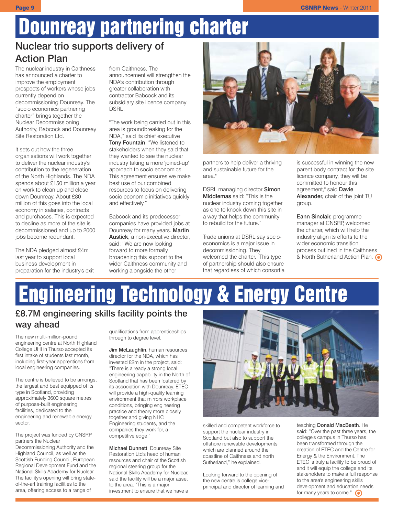# Dounreay partnering charter

## Nuclear trio supports delivery of Action Plan

The nuclear industry in Caithness has announced a charter to improve the employment prospects of workers whose jobs currently depend on decommissioning Dounreay. The "socio economics partnering charter" brings together the Nuclear Decommissioning Authority, Babcock and Dounreay Site Restoration Ltd.

It sets out how the three organisations will work together to deliver the nuclear industry's contribution to the regeneration of the North Highlands. The NDA spends about £150 million a year on work to clean up and close down Dounreay. About £80 million of this goes into the local economy in salaries, contracts and purchases. This is expected to decline as more of the site is decommissioned and up to 2000 jobs become redundant.

The NDA pledged almost £4m last year to support local business development in preparation for the industry's exit from Caithness. The announcement will strengthen the NDA's contribution through greater collaboration with contractor Babcock and its subsidiary site licence company DSRL.

"The work being carried out in this area is groundbreaking for the NDA," said its chief executive Tony Fountain. "We listened to stakeholders when they said that they wanted to see the nuclear industry taking a more 'joined-up' approach to socio economics. This agreement ensures we make best use of our combined resources to focus on delivering socio economic initiatives quickly and effectively."

Babcock and its predecessor companies have provided jobs at Dounreay for many years. Martin Austick, a non-executive director, said: "We are now looking forward to more formally broadening this support to the wider Caithness community and working alongside the other



partners to help deliver a thriving and sustainable future for the area."

DSRL managing director **Simon** Middlemas said: "This is the nuclear industry coming together as one to knock down this site in a way that helps the community to rebuild for the future."

Trade unions at DSRL say socioeconomics is a major issue in decommissioning. They welcomed the charter. "This type of partnership should also ensure that regardless of which consortia

is successful in winning the new parent body contract for the site licence company, they will be committed to honour this agreement," said Davie Alexander, chair of the joint TU group.

Eann Sinclair, programme manager at CNSRP, welcomed the charter, which will help the industry align its efforts to the wider economic transition process outlined in the Caithness & North Sutherland Action Plan. <br>
• Ref. 3

# Engineering Technology & Energy Centre

## £8.7M engineering skills facility points the way ahead

The new multi-million-pound engineering centre at North Highland College UHI in Thurso accepted its first intake of students last month, including first-year apprentices from local engineering companies.

The centre is believed to be amongst the largest and best equipped of its type in Scotland, providing approximately 3600 square metres of purpose-built engineering facilities, dedicated to the engineering and renewable energy sector.

The project was funded by CNSRP partners the Nuclear Decommissioning Authority and the Highland Council, as well as the Scottish Funding Council, European Regional Development Fund and the National Skills Academy for Nuclear. The facility's opening will bring stateof-the-art training facilities to the area, offering access to a range of

qualifications from apprenticeships through to degree level.

Jim McLaughlin, human resources director for the NDA, which has invested £2m in the project, said: "There is already a strong local engineering capability in the North of Scotland that has been fostered by its association with Dounreay. ETEC will provide a high-quality learning environment that mirrors workplace conditions, bringing engineering practice and theory more closely together and giving NHC Engineering students, and the companies they work for, a competitive edge."

Michael Dunnett, Dounreay Site Restoration Ltd's head of human resources and chair of the Scottish regional steering group for the National Skills Academy for Nuclear, said the facility will be a major asset to the area. "This is a major investment to ensure that we have a



skilled and competent workforce to support the nuclear industry in Scotland but also to support the offshore renewable developments which are planned around the coastline of Caithness and north Sutherland," he explained.

Looking forward to the opening of the new centre is college viceprincipal and director of learning and

teaching Donald MacBeath. He said: "Over the past three years, the college's campus in Thurso has been transformed through the creation of ETEC and the Centre for Energy & the Environment. The ETEC is truly a facility to be proud of and it will equip the college and its stakeholders to make a full response to the area's engineering skills development and education needs for many years to come."  $\bigcirc$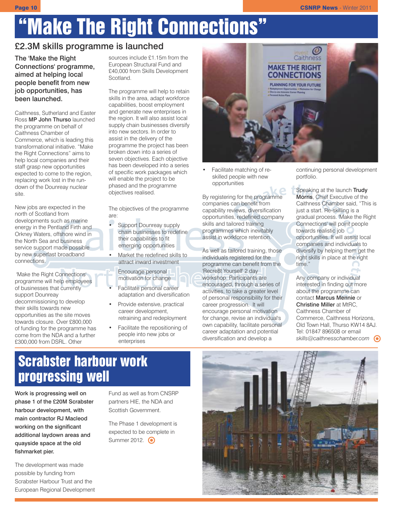# "Make The Right Connections"

#### £2.3M skills programme is launched

The 'Make the Right Connections' programme, aimed at helping local people benefit from new job opportunities, has been launched.

Caithness, Sutherland and Easter Ross MP John Thurso launched the programme on behalf of Caithness Chamber of Commerce, which is leading this transformational initiative. "Make the Right Connections" aims to help local companies and their staff grasp new opportunities expected to come to the region, replacing work lost in the rundown of the Dounreay nuclear site.

New jobs are expected in the north of Scotland from developments such as marine energy in the Pentland Firth and Orkney Waters, offshore wind in the North Sea and business service support made possible by new superfast broadband connections.

'Make the Right Connections' programme will help employees of businesses that currently support Dounreay decommissioning to develop their skills towards new opportunities as the site moves towards closure. Over £800,000 of funding for the programme has come from the NDA and a further £300,000 from DSRL. Other

sources include £1.15m from the European Structural Fund and £40,000 from Skills Development Scotland.

The programme will help to retain skills in the area, adapt workforce capabilities, boost employment and generate new enterprises in the region. It will also assist local supply chain businesses diversify into new sectors. In order to assist in the delivery of the programme the project has been broken down into a series of seven objectives. Each objective has been developed into a series of specific work packages which will enable the project to be phased and the programme objectives realised.

The objectives of the programme are:

- Support Dounreay supply chain businesses to redefine their capabilities to fit emerging opportunities
- Market the redefined skills to attract inward investment

Encourage personal motivation for change

- Facilitate personal career adaptation and diversification
- Provide extensive, practical career development, retraining and redeployment
- Facilitate the repositioning of people into new jobs or enterprises



• Facilitate matching of reskilled people with new opportunities

By registering for the programme companies can benefit from capability reviews, diversification opportunities, redefined company skills and tailored training programmes which inevitably assist in workforce retention.

As well as tailored training, those individuals registered for the programme can benefit from the 'Recre8t Yourself' 2 day workshop. Participants are encouraged, through a series of activities, to take a greater level of personal responsibility for their career progression. It will encourage personal motivation for change, revise an individual's own capability, facilitate personal career adaptation and potential diversification and develop a

continuing personal development portfolio.

Speaking at the launch Trudy Morris, Chief Executive of the Caithness Chamber said, "This is just a start. Re-skilling is a gradual process. 'Make the Right Connections' will point people towards realistic job opportunities. It will assist local companies and individuals to diversify by helping them get the right skills in place at the right time."

Any company or individual interested in finding out more about the programme can contact Marcus Mennie or Christine Miller at MtRC, Caithness Chamber of Commerce, Caithness Horizons, Old Town Hall, Thurso KW14 8AJ. Tel: 01847 896508 or email *skills@caithnesschamber.com*

# Scrabster harbour work progressing well

Work is progressing well on phase 1 of the £20M Scrabster harbour development, with main contractor RJ Macleod working on the significant additional laydown areas and quayside space at the old fishmarket pier.

The development was made possible by funding from Scrabster Harbour Trust and the European Regional Development Fund as well as from CNSRP partners HIE, the NDA and Scottish Government.

The Phase 1 development is expected to be complete in Summer 2012. **.** 

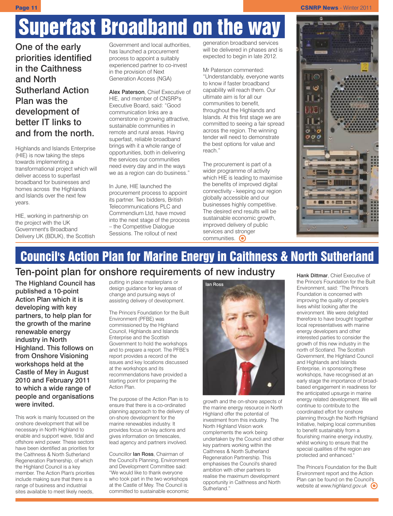#### **Page 11 CSNRP News** - Winter 2011

# Superfast Broadband on the way

One of the early priorities identified in the Caithness and North Sutherland Action Plan was the development of better IT links to and from the north.

Highlands and Islands Enterprise (HIE) is now taking the steps towards implementing a transformational project which will deliver access to superfast broadband for businesses and homes across the Highlands and Islands over the next few years.

HIE, working in partnership on the project with the UK Government's Broadband Delivery UK (BDUK), the Scottish

Government and local authorities, has launched a procurement process to appoint a suitably experienced partner to co-invest in the provision of Next Generation Access (NGA)

Alex Paterson, Chief Executive of HIE, and member of CNSRP's Executive Board, said: "Good communication links are a cornerstone in growing attractive, sustainable communities in remote and rural areas. Having superfast, reliable broadband brings with it a whole range of opportunities, both in delivering the services our communities need every day and in the ways we as a region can do business."

In June, HIE launched the procurement process to appoint its partner. Two bidders, British Telecommunications PLC and Commendium Ltd, have moved into the next stage of the process – the Competitive Dialogue Sessions. The rollout of next

generation broadband services will be delivered in phases and is expected to begin in late 2012.

Mr Paterson commented: "Understandably, everyone wants to know if faster broadband capability will reach them. Our ultimate aim is for all our communities to benefit, throughout the Highlands and Islands. At this first stage we are committed to seeing a fair spread across the region. The winning tender will need to demonstrate the best options for value and reach."

The procurement is part of a wider programme of activity which HIE is leading to maximise the benefits of improved digital connectivity - keeping our region globally accessible and our businesses highly competitive. The desired end results will be sustainable economic growth, improved delivery of public services and stronger communities.  $\odot$ 



## Council's Action Plan for Marine Energy in Caithness & North Sutherland Ten-point plan for onshore requirements of new industry

The Highland Council has published a 10-point Action Plan which it is developing with key partners, to help plan for the growth of the marine renewable energy industry in North Highland. This follows on from Onshore Visioning workshops held at the Castle of Mey in August 2010 and February 2011 to which a wide range of people and organisations were invited.

This work is mainly focussed on the onshore development that will be necessary in North Highland to enable and support wave, tidal and offshore wind power. These sectors have been identified as priorities for the Caithness & North Sutherland Regeneration Partnership, of which the Highland Council is a key member. The Action Plan's priorities include making sure that there is a range of business and industrial sites available to meet likely needs,

putting in place masterplans or design guidance for key areas of change and pursuing ways of assisting delivery of development.

The Prince's Foundation for the Built Environment (PFBE) was commissioned by the Highland Council, Highlands and Islands Enterprise and the Scottish Government to hold the workshops and to prepare a report. The PFBE's report provides a record of the issues and key locations discussed at the workshops and its recommendations have provided a starting point for preparing the Action Plan.

The purpose of the Action Plan is to ensure that there is a co-ordinated planning approach to the delivery of on-shore development for the marine renewables industry. It provides focus on key actions and gives information on timescales, lead agency and partners involved.

Councillor Ian Ross, Chairman of the Council's Planning, Environment and Development Committee said: "We would like to thank everyone who took part in the two workshops at the Castle of Mey. The Council is committed to sustainable economic



growth and the on-shore aspects of the marine energy resource in North Highland offer the potential of investment from this industry. The North Highland Vision work complements the work being undertaken by the Council and other key partners working within the Caithness & North Sutherland Regeneration Partnership. This emphasises the Council's shared ambition with other partners to realise the maximum development opportunity in Caithness and North Sutherland."

Hank Dittmar, Chief Executive of the Prince's Foundation for the Built Environment, said: "The Prince's Foundation is concerned with improving the quality of people's lives whilst looking after the environment. We were delighted therefore to have brought together local representatives with marine energy developers and other interested parties to consider the growth of this new industry in the north of Scotland. The Scottish Government, the Highland Council and Highlands and Islands Enterprise, in sponsoring these workshops, have recognised at an early stage the importance of broadbased engagement in readiness for the anticipated upsurge in marine energy related development. We will continue to contribute to the coordinated effort for onshore planning through the North Highland Initiative, helping local communities to benefit sustainably from a flourishing marine energy industry, whilst working to ensure that the special qualities of the region are protected and enhanced."

The Prince's Foundation for the Built Environment report and the Action Plan can be found on the Council's website at *www.highland.gov.uk*